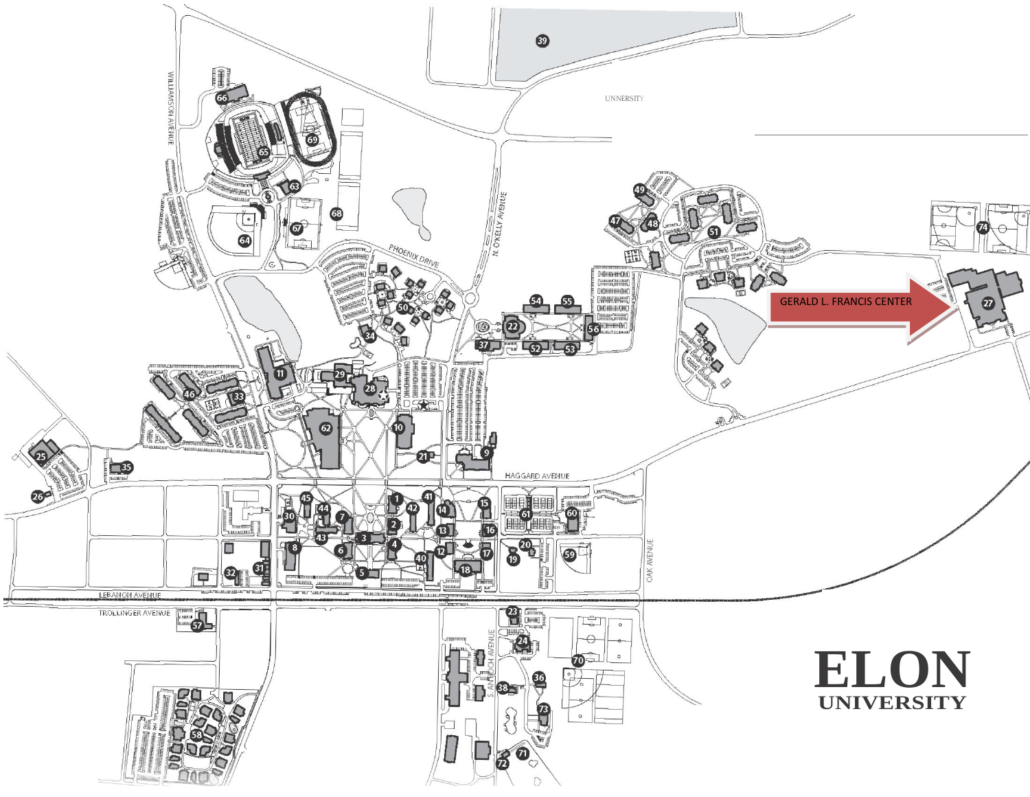